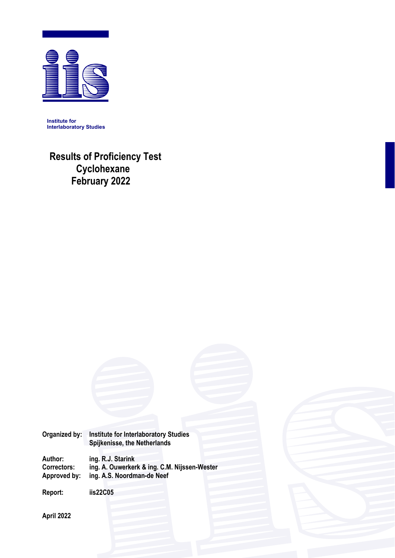

**Institute for Interlaboratory Studies** 

 **Results of Proficiency Test Cyclohexane February 2022** 



ing. A.S. Noordman-de Neef

**Report: iis22C05** 

**April 2022**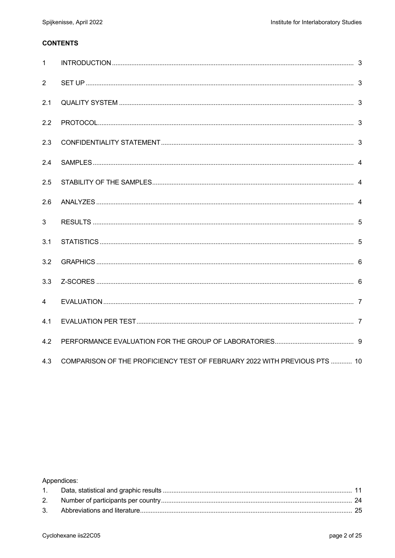#### **CONTENTS**

| $\mathbf{1}$   |                                                                           |  |
|----------------|---------------------------------------------------------------------------|--|
| 2              |                                                                           |  |
| 2.1            |                                                                           |  |
| 2.2            |                                                                           |  |
| 2.3            |                                                                           |  |
| 2.4            |                                                                           |  |
| 2.5            |                                                                           |  |
| 2.6            |                                                                           |  |
| 3              |                                                                           |  |
| 3.1            |                                                                           |  |
| 3.2            |                                                                           |  |
| 3.3            |                                                                           |  |
| $\overline{4}$ |                                                                           |  |
| 4.1            |                                                                           |  |
| 4.2            |                                                                           |  |
| 4.3            | COMPARISON OF THE PROFICIENCY TEST OF FEBRUARY 2022 WITH PREVIOUS PTS  10 |  |

## Appendices: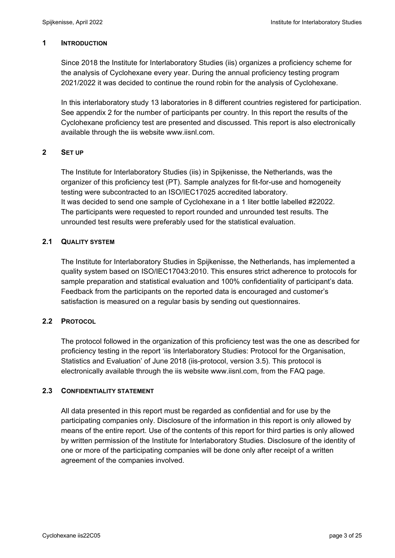#### **1 INTRODUCTION**

Since 2018 the Institute for Interlaboratory Studies (iis) organizes a proficiency scheme for the analysis of Cyclohexane every year. During the annual proficiency testing program 2021/2022 it was decided to continue the round robin for the analysis of Cyclohexane.

In this interlaboratory study 13 laboratories in 8 different countries registered for participation. See appendix 2 for the number of participants per country. In this report the results of the Cyclohexane proficiency test are presented and discussed. This report is also electronically available through the iis website www.iisnl.com.

### **2 SET UP**

The Institute for Interlaboratory Studies (iis) in Spijkenisse, the Netherlands, was the organizer of this proficiency test (PT). Sample analyzes for fit-for-use and homogeneity testing were subcontracted to an ISO/IEC17025 accredited laboratory. It was decided to send one sample of Cyclohexane in a 1 liter bottle labelled #22022. The participants were requested to report rounded and unrounded test results. The unrounded test results were preferably used for the statistical evaluation.

### **2.1 QUALITY SYSTEM**

The Institute for Interlaboratory Studies in Spijkenisse, the Netherlands, has implemented a quality system based on ISO/IEC17043:2010. This ensures strict adherence to protocols for sample preparation and statistical evaluation and 100% confidentiality of participant's data. Feedback from the participants on the reported data is encouraged and customer's satisfaction is measured on a regular basis by sending out questionnaires.

### **2.2 PROTOCOL**

The protocol followed in the organization of this proficiency test was the one as described for proficiency testing in the report 'iis Interlaboratory Studies: Protocol for the Organisation, Statistics and Evaluation' of June 2018 (iis-protocol, version 3.5). This protocol is electronically available through the iis website www.iisnl.com, from the FAQ page.

#### **2.3 CONFIDENTIALITY STATEMENT**

All data presented in this report must be regarded as confidential and for use by the participating companies only. Disclosure of the information in this report is only allowed by means of the entire report. Use of the contents of this report for third parties is only allowed by written permission of the Institute for Interlaboratory Studies. Disclosure of the identity of one or more of the participating companies will be done only after receipt of a written agreement of the companies involved.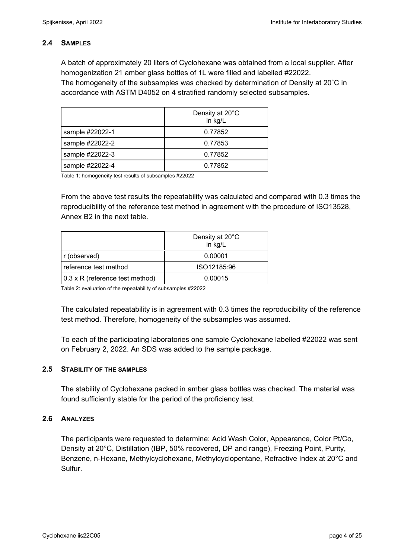### **2.4 SAMPLES**

A batch of approximately 20 liters of Cyclohexane was obtained from a local supplier. After homogenization 21 amber glass bottles of 1L were filled and labelled #22022. The homogeneity of the subsamples was checked by determination of Density at 20˚C in accordance with ASTM D4052 on 4 stratified randomly selected subsamples.

|                 | Density at 20°C<br>in kg/L |
|-----------------|----------------------------|
| sample #22022-1 | 0.77852                    |
| sample #22022-2 | 0.77853                    |
| sample #22022-3 | 0.77852                    |
| sample #22022-4 | 0.77852                    |

Table 1: homogeneity test results of subsamples #22022

From the above test results the repeatability was calculated and compared with 0.3 times the reproducibility of the reference test method in agreement with the procedure of ISO13528, Annex B2 in the next table.

|                                 | Density at 20°C<br>in kg/L |
|---------------------------------|----------------------------|
| r (observed)                    | 0.00001                    |
| reference test method           | ISO12185:96                |
| 0.3 x R (reference test method) | 0.00015                    |

Table 2: evaluation of the repeatability of subsamples #22022

The calculated repeatability is in agreement with 0.3 times the reproducibility of the reference test method. Therefore, homogeneity of the subsamples was assumed.

To each of the participating laboratories one sample Cyclohexane labelled #22022 was sent on February 2, 2022. An SDS was added to the sample package.

### **2.5 STABILITY OF THE SAMPLES**

The stability of Cyclohexane packed in amber glass bottles was checked. The material was found sufficiently stable for the period of the proficiency test.

### **2.6 ANALYZES**

The participants were requested to determine: Acid Wash Color, Appearance, Color Pt/Co, Density at 20°C, Distillation (IBP, 50% recovered, DP and range), Freezing Point, Purity, Benzene, n-Hexane, Methylcyclohexane, Methylcyclopentane, Refractive Index at 20°C and Sulfur.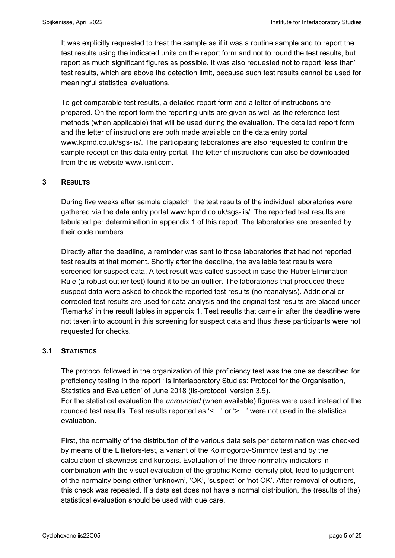It was explicitly requested to treat the sample as if it was a routine sample and to report the test results using the indicated units on the report form and not to round the test results, but report as much significant figures as possible. It was also requested not to report 'less than' test results, which are above the detection limit, because such test results cannot be used for meaningful statistical evaluations.

To get comparable test results, a detailed report form and a letter of instructions are prepared. On the report form the reporting units are given as well as the reference test methods (when applicable) that will be used during the evaluation. The detailed report form and the letter of instructions are both made available on the data entry portal www.kpmd.co.uk/sgs-iis/. The participating laboratories are also requested to confirm the sample receipt on this data entry portal. The letter of instructions can also be downloaded from the iis website www.iisnl.com.

#### **3 RESULTS**

During five weeks after sample dispatch, the test results of the individual laboratories were gathered via the data entry portal www.kpmd.co.uk/sgs-iis/. The reported test results are tabulated per determination in appendix 1 of this report. The laboratories are presented by their code numbers.

Directly after the deadline, a reminder was sent to those laboratories that had not reported test results at that moment. Shortly after the deadline, the available test results were screened for suspect data. A test result was called suspect in case the Huber Elimination Rule (a robust outlier test) found it to be an outlier. The laboratories that produced these suspect data were asked to check the reported test results (no reanalysis). Additional or corrected test results are used for data analysis and the original test results are placed under 'Remarks' in the result tables in appendix 1. Test results that came in after the deadline were not taken into account in this screening for suspect data and thus these participants were not requested for checks.

### **3.1 STATISTICS**

The protocol followed in the organization of this proficiency test was the one as described for proficiency testing in the report 'iis Interlaboratory Studies: Protocol for the Organisation, Statistics and Evaluation' of June 2018 (iis-protocol, version 3.5).

For the statistical evaluation the *unrounded* (when available) figures were used instead of the rounded test results. Test results reported as '<…' or '>…' were not used in the statistical evaluation.

First, the normality of the distribution of the various data sets per determination was checked by means of the Lilliefors-test, a variant of the Kolmogorov-Smirnov test and by the calculation of skewness and kurtosis. Evaluation of the three normality indicators in combination with the visual evaluation of the graphic Kernel density plot, lead to judgement of the normality being either 'unknown', 'OK', 'suspect' or 'not OK'. After removal of outliers, this check was repeated. If a data set does not have a normal distribution, the (results of the) statistical evaluation should be used with due care.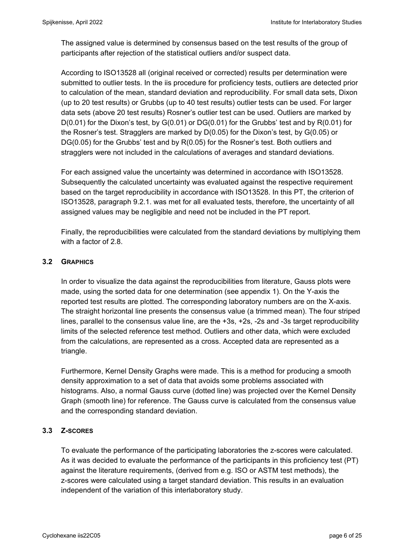The assigned value is determined by consensus based on the test results of the group of participants after rejection of the statistical outliers and/or suspect data.

According to ISO13528 all (original received or corrected) results per determination were submitted to outlier tests. In the iis procedure for proficiency tests, outliers are detected prior to calculation of the mean, standard deviation and reproducibility. For small data sets, Dixon (up to 20 test results) or Grubbs (up to 40 test results) outlier tests can be used. For larger data sets (above 20 test results) Rosner's outlier test can be used. Outliers are marked by  $D(0.01)$  for the Dixon's test, by  $G(0.01)$  or  $DG(0.01)$  for the Grubbs' test and by  $R(0.01)$  for the Rosner's test. Stragglers are marked by D(0.05) for the Dixon's test, by G(0.05) or DG(0.05) for the Grubbs' test and by R(0.05) for the Rosner's test. Both outliers and stragglers were not included in the calculations of averages and standard deviations.

For each assigned value the uncertainty was determined in accordance with ISO13528. Subsequently the calculated uncertainty was evaluated against the respective requirement based on the target reproducibility in accordance with ISO13528. In this PT, the criterion of ISO13528, paragraph 9.2.1. was met for all evaluated tests, therefore, the uncertainty of all assigned values may be negligible and need not be included in the PT report.

Finally, the reproducibilities were calculated from the standard deviations by multiplying them with a factor of 2.8.

## **3.2 GRAPHICS**

In order to visualize the data against the reproducibilities from literature, Gauss plots were made, using the sorted data for one determination (see appendix 1). On the Y-axis the reported test results are plotted. The corresponding laboratory numbers are on the X-axis. The straight horizontal line presents the consensus value (a trimmed mean). The four striped lines, parallel to the consensus value line, are the +3s, +2s, -2s and -3s target reproducibility limits of the selected reference test method. Outliers and other data, which were excluded from the calculations, are represented as a cross. Accepted data are represented as a triangle.

Furthermore, Kernel Density Graphs were made. This is a method for producing a smooth density approximation to a set of data that avoids some problems associated with histograms. Also, a normal Gauss curve (dotted line) was projected over the Kernel Density Graph (smooth line) for reference. The Gauss curve is calculated from the consensus value and the corresponding standard deviation.

### **3.3 Z-SCORES**

To evaluate the performance of the participating laboratories the z-scores were calculated. As it was decided to evaluate the performance of the participants in this proficiency test (PT) against the literature requirements, (derived from e.g. ISO or ASTM test methods), the z-scores were calculated using a target standard deviation. This results in an evaluation independent of the variation of this interlaboratory study.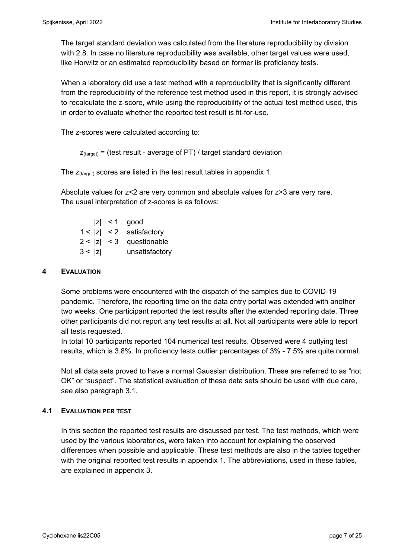The target standard deviation was calculated from the literature reproducibility by division with 2.8. In case no literature reproducibility was available, other target values were used, like Horwitz or an estimated reproducibility based on former iis proficiency tests.

When a laboratory did use a test method with a reproducibility that is significantly different from the reproducibility of the reference test method used in this report, it is strongly advised to recalculate the z-score, while using the reproducibility of the actual test method used, this in order to evaluate whether the reported test result is fit-for-use.

The z-scores were calculated according to:

```
Z_{\text{target}} = (test result - average of PT) / target standard deviation
```
The  $z_{\text{(target)}}$  scores are listed in the test result tables in appendix 1.

Absolute values for z<2 are very common and absolute values for z>3 are very rare. The usual interpretation of z-scores is as follows:

|        | $ z  < 1$ good             |
|--------|----------------------------|
|        | $1 <  z  < 2$ satisfactory |
|        | $2 <  z  < 3$ questionable |
| 3 <  z | unsatisfactory             |

#### **4 EVALUATION**

Some problems were encountered with the dispatch of the samples due to COVID-19 pandemic. Therefore, the reporting time on the data entry portal was extended with another two weeks. One participant reported the test results after the extended reporting date. Three other participants did not report any test results at all. Not all participants were able to report all tests requested.

In total 10 participants reported 104 numerical test results. Observed were 4 outlying test results, which is 3.8%. In proficiency tests outlier percentages of 3% - 7.5% are quite normal.

Not all data sets proved to have a normal Gaussian distribution. These are referred to as "not OK" or "suspect". The statistical evaluation of these data sets should be used with due care, see also paragraph 3.1.

### **4.1 EVALUATION PER TEST**

In this section the reported test results are discussed per test. The test methods, which were used by the various laboratories, were taken into account for explaining the observed differences when possible and applicable. These test methods are also in the tables together with the original reported test results in appendix 1. The abbreviations, used in these tables, are explained in appendix 3.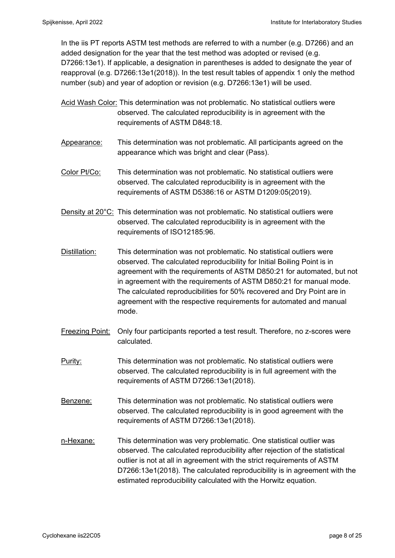In the iis PT reports ASTM test methods are referred to with a number (e.g. D7266) and an added designation for the year that the test method was adopted or revised (e.g. D7266:13e1). If applicable, a designation in parentheses is added to designate the year of reapproval (e.g. D7266:13e1(2018)). In the test result tables of appendix 1 only the method number (sub) and year of adoption or revision (e.g. D7266:13e1) will be used.

- Acid Wash Color: This determination was not problematic. No statistical outliers were observed. The calculated reproducibility is in agreement with the requirements of ASTM D848:18.
- Appearance: This determination was not problematic. All participants agreed on the appearance which was bright and clear (Pass).
- Color Pt/Co: This determination was not problematic. No statistical outliers were observed. The calculated reproducibility is in agreement with the requirements of ASTM D5386:16 or ASTM D1209:05(2019).
- Density at 20<sup>°</sup>C: This determination was not problematic. No statistical outliers were observed. The calculated reproducibility is in agreement with the requirements of ISO12185:96.
- Distillation: This determination was not problematic. No statistical outliers were observed. The calculated reproducibility for Initial Boiling Point is in agreement with the requirements of ASTM D850:21 for automated, but not in agreement with the requirements of ASTM D850:21 for manual mode. The calculated reproducibilities for 50% recovered and Dry Point are in agreement with the respective requirements for automated and manual mode.
- Freezing Point: Only four participants reported a test result. Therefore, no z-scores were calculated.
- Purity: This determination was not problematic. No statistical outliers were observed. The calculated reproducibility is in full agreement with the requirements of ASTM D7266:13e1(2018).
- Benzene: This determination was not problematic. No statistical outliers were observed. The calculated reproducibility is in good agreement with the requirements of ASTM D7266:13e1(2018).
- n-Hexane: This determination was very problematic. One statistical outlier was observed. The calculated reproducibility after rejection of the statistical outlier is not at all in agreement with the strict requirements of ASTM D7266:13e1(2018). The calculated reproducibility is in agreement with the estimated reproducibility calculated with the Horwitz equation.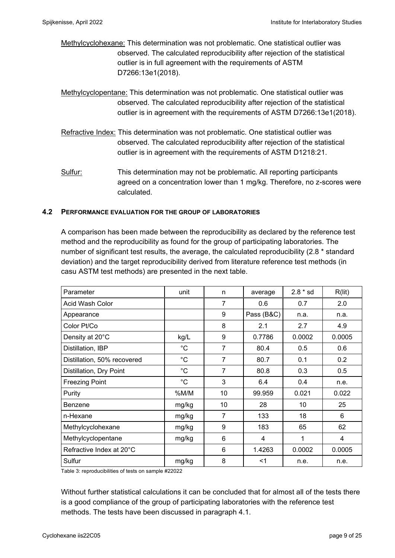- Methylcyclohexane: This determination was not problematic. One statistical outlier was observed. The calculated reproducibility after rejection of the statistical outlier is in full agreement with the requirements of ASTM D7266:13e1(2018).
- Methylcyclopentane: This determination was not problematic. One statistical outlier was observed. The calculated reproducibility after rejection of the statistical outlier is in agreement with the requirements of ASTM D7266:13e1(2018).
- Refractive Index: This determination was not problematic. One statistical outlier was observed. The calculated reproducibility after rejection of the statistical outlier is in agreement with the requirements of ASTM D1218:21.
- Sulfur: This determination may not be problematic. All reporting participants agreed on a concentration lower than 1 mg/kg. Therefore, no z-scores were calculated.

#### **4.2 PERFORMANCE EVALUATION FOR THE GROUP OF LABORATORIES**

A comparison has been made between the reproducibility as declared by the reference test method and the reproducibility as found for the group of participating laboratories. The number of significant test results, the average, the calculated reproducibility (2.8 \* standard deviation) and the target reproducibility derived from literature reference test methods (in casu ASTM test methods) are presented in the next table.

| Parameter                   | unit         | n              | average    | $2.8 * sd$ | R(lit) |
|-----------------------------|--------------|----------------|------------|------------|--------|
| Acid Wash Color             |              | 7              | 0.6        | 0.7        | 2.0    |
| Appearance                  |              | 9              | Pass (B&C) | n.a.       | n.a.   |
| Color Pt/Co                 |              | 8              | 2.1        | 2.7        | 4.9    |
| Density at 20°C             | kg/L         | 9              | 0.7786     | 0.0002     | 0.0005 |
| Distillation, IBP           | $^{\circ}C$  | $\overline{7}$ | 80.4       | 0.5        | 0.6    |
| Distillation, 50% recovered | $^{\circ}$ C | $\overline{7}$ | 80.7       | 0.1        | 0.2    |
| Distillation, Dry Point     | $^{\circ}C$  | $\overline{7}$ | 80.8       | 0.3        | 0.5    |
| <b>Freezing Point</b>       | $^{\circ}C$  | 3              | 6.4        | 0.4        | n.e.   |
| Purity                      | %M/M         | 10             | 99.959     | 0.021      | 0.022  |
| Benzene                     | mg/kg        | 10             | 28         | 10         | 25     |
| n-Hexane                    | mg/kg        | 7              | 133        | 18         | 6      |
| Methylcyclohexane           | mg/kg        | 9              | 183        | 65         | 62     |
| Methylcyclopentane          | mg/kg        | 6              | 4          | 1          | 4      |
| Refractive Index at 20°C    |              | 6              | 1.4263     | 0.0002     | 0.0005 |
| Sulfur                      | mg/kg        | 8              | $<$ 1      | n.e.       | n.e.   |

Table 3: reproducibilities of tests on sample #22022

Without further statistical calculations it can be concluded that for almost all of the tests there is a good compliance of the group of participating laboratories with the reference test methods. The tests have been discussed in paragraph 4.1.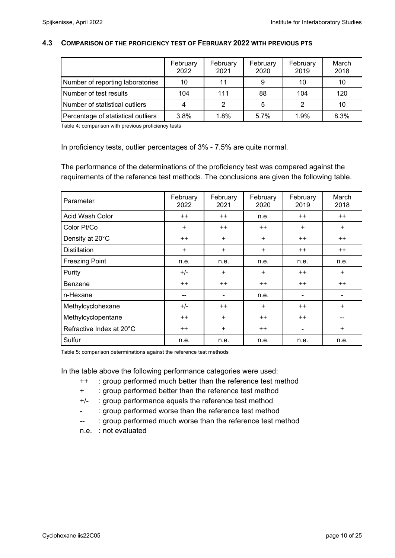#### **4.3 COMPARISON OF THE PROFICIENCY TEST OF FEBRUARY 2022 WITH PREVIOUS PTS**

|                                    | February<br>2022 | February<br>2021 | February<br>2020 | February<br>2019 | March<br>2018 |
|------------------------------------|------------------|------------------|------------------|------------------|---------------|
| Number of reporting laboratories   | 10               | 11               | 9                | 10               | 10            |
| Number of test results             | 104              | 111              | 88               | 104              | 120           |
| Number of statistical outliers     |                  |                  | 5                |                  | 10            |
| Percentage of statistical outliers | 3.8%             | 1.8%             | 5.7%             | 1.9%             | 8.3%          |

Table 4: comparison with previous proficiency tests

In proficiency tests, outlier percentages of 3% - 7.5% are quite normal.

The performance of the determinations of the proficiency test was compared against the requirements of the reference test methods. The conclusions are given the following table.

| Parameter                | February<br>2022 | February<br>2021         | February<br>2020 | February<br>2019 | March<br>2018   |
|--------------------------|------------------|--------------------------|------------------|------------------|-----------------|
| Acid Wash Color          | $++$             | $++$                     | n.e.             | $++$             | $++$            |
| Color Pt/Co              | $\ddot{}$        | $^{++}$                  | $++$             | $+$              | $+$             |
| Density at 20°C          | $++$             | $\ddot{}$                | $+$              |                  | $++$            |
| <b>Distillation</b>      | $\ddot{}$        | $\ddot{}$<br>+           |                  | $++$             | $^{\mathrm{+}}$ |
| <b>Freezing Point</b>    | n.e.             | n.e.                     | n.e.             | n.e.             | n.e.            |
| Purity                   | $+/-$            | $\ddot{}$                | $\ddot{}$        | $++$             | $+$             |
| <b>Benzene</b>           | $++$             | $^{++}$                  | $++$             | $++$             | $++$            |
| n-Hexane                 | --               | $\overline{\phantom{a}}$ | n.e.             |                  |                 |
| Methylcyclohexane        | $+/-$            | $++$                     | $\ddot{}$        | $++$             | $\ddot{}$       |
| Methylcyclopentane       | $++$             | $\ddot{}$                | $++$             | $++$             |                 |
| Refractive Index at 20°C | $++$             | $\ddot{}$                | $++$             | -                | $\ddot{}$       |
| Sulfur                   | n.e.             | n.e.                     | n.e.             | n.e.             | n.e.            |

Table 5: comparison determinations against the reference test methods

In the table above the following performance categories were used:

- ++ : group performed much better than the reference test method
- + : group performed better than the reference test method
- +/- : group performance equals the reference test method
- : group performed worse than the reference test method
- -- : group performed much worse than the reference test method
- n.e. : not evaluated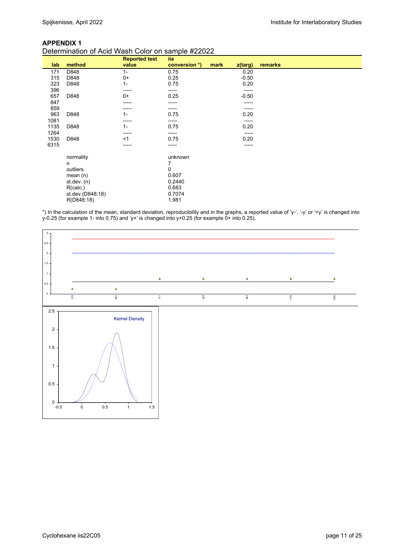#### **APPENDIX 1**

#### Determination of Acid Wash Color on sample #22022

|      |                  | <b>Reported test</b> | iis           |                 |         |
|------|------------------|----------------------|---------------|-----------------|---------|
| lab  | method           | value                | conversion *) | mark<br>z(targ) | remarks |
| 171  | D848             | $1 -$                | 0.75          | 0.20            |         |
| 315  | D848             | $0+$                 | 0.25          | $-0.50$         |         |
| 323  | D848             | $1 -$                | 0.75          | 0.20            |         |
| 396  |                  | -----                | -----         | -----           |         |
| 657  | D848             | $0+$                 | 0.25          | $-0.50$         |         |
| 847  |                  | -----                | -----         | -----           |         |
| 859  |                  | -----                | -----         | ------          |         |
| 963  | D848             | $1 -$                | 0.75          | 0.20            |         |
| 1081 |                  | -----                | -----         | -----           |         |
| 1135 | D848             | $1 -$                | 0.75          | 0.20            |         |
| 1264 |                  | -----                | -----         | -----           |         |
| 1530 | D848             | <1                   | 0.75          | 0.20            |         |
| 6315 |                  | -----                | -----         | -----           |         |
|      | normality        |                      | unknown       |                 |         |
|      | n                |                      | 7             |                 |         |
|      | outliers         |                      | 0             |                 |         |
|      | mean $(n)$       |                      | 0.607         |                 |         |
|      | st.dev. $(n)$    |                      | 0.2440        |                 |         |
|      | R(calc.)         |                      | 0.683         |                 |         |
|      | st.dev.(D848:18) |                      | 0.7074        |                 |         |
|      | R(D848:18)       |                      | 1.981         |                 |         |

\*) In the calculation of the mean, standard deviation, reproducibility and in the graphs, a reported value of 'y-', '-y' or '<y' is changed into y-0.25 (for example 1- into 0.75) and 'y+' is changed into y+0.25 (for example 0+ into 0.25).

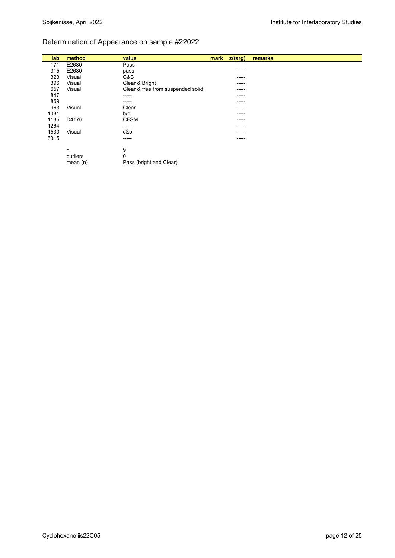## Determination of Appearance on sample #22022

| lab  | method     | value                             | mark | z(targ) | remarks |
|------|------------|-----------------------------------|------|---------|---------|
| 171  | E2680      | Pass                              |      | -----   |         |
| 315  | E2680      | pass                              |      | -----   |         |
| 323  | Visual     | C&B                               |      | -----   |         |
| 396  | Visual     | Clear & Bright                    |      | ------  |         |
| 657  | Visual     | Clear & free from suspended solid |      | ------  |         |
| 847  |            | -----                             |      | -----   |         |
| 859  |            | -----                             |      | -----   |         |
| 963  | Visual     | Clear                             |      | -----   |         |
| 1081 |            | b/c                               |      | -----   |         |
| 1135 | D4176      | <b>CFSM</b>                       |      | -----   |         |
| 1264 |            | -----                             |      | -----   |         |
| 1530 | Visual     | c&b                               |      | -----   |         |
| 6315 |            | -----                             |      | -----   |         |
|      | n          | 9                                 |      |         |         |
|      | outliers   | 0                                 |      |         |         |
|      | mean $(n)$ | Pass (bright and Clear)           |      |         |         |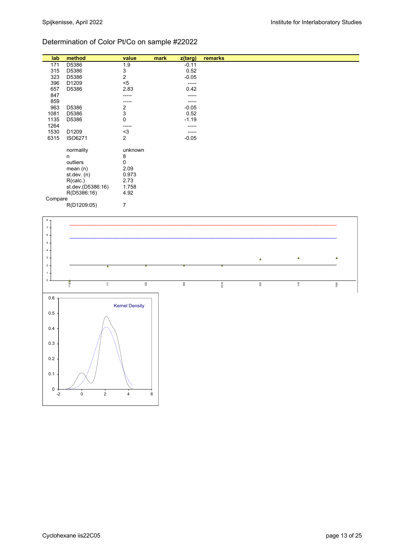## Determination of Color Pt/Co on sample #22022

| lab     | method                           | value          | mark | z(targ) | remarks |  |
|---------|----------------------------------|----------------|------|---------|---------|--|
| 171     | D5386                            | 1.9            |      | $-0.11$ |         |  |
| 315     | D5386                            | 3              |      | 0.52    |         |  |
| 323     | D5386                            | 2              |      | $-0.05$ |         |  |
| 396     | D1209                            | $<$ 5          |      | ------  |         |  |
| 657     | D5386                            | 2.83           |      | 0.42    |         |  |
| 847     |                                  | -----          |      | -----   |         |  |
| 859     |                                  | -----          |      | -----   |         |  |
| 963     | D5386                            | 2              |      | $-0.05$ |         |  |
| 1081    | D5386                            | 3              |      | 0.52    |         |  |
| 1135    | D5386                            | 0              |      | $-1.19$ |         |  |
| 1264    |                                  | -----          |      | -----   |         |  |
| 1530    | D1209                            | $3$            |      | -----   |         |  |
| 6315    | ISO6271                          | $\overline{2}$ |      | $-0.05$ |         |  |
|         |                                  |                |      |         |         |  |
|         | normality                        | unknown        |      |         |         |  |
|         | n<br>outliers                    | 8<br>0         |      |         |         |  |
|         |                                  | 2.09           |      |         |         |  |
|         | mean $(n)$                       | 0.973          |      |         |         |  |
|         | st.dev. $(n)$                    | 2.73           |      |         |         |  |
|         | R(calc.)                         | 1.758          |      |         |         |  |
|         | st.dev.(D5386:16)<br>R(D5386:16) | 4.92           |      |         |         |  |
| Compare |                                  |                |      |         |         |  |
|         | D/D1200.05                       | $\overline{ }$ |      |         |         |  |

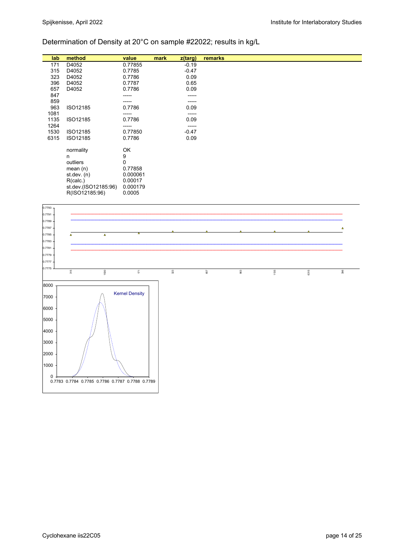# Determination of Density at 20°C on sample #22022; results in kg/L

| lab  | method               | value       | mark | z(targ) | remarks |
|------|----------------------|-------------|------|---------|---------|
| 171  | D4052                | 0.77855     |      | $-0.19$ |         |
| 315  | D4052                | 0.7785      |      | $-0.47$ |         |
| 323  | D4052                | 0.7786      |      | 0.09    |         |
| 396  | D4052                | 0.7787      |      | 0.65    |         |
| 657  | D4052                | 0.7786      |      | 0.09    |         |
| 847  |                      |             |      | -----   |         |
| 859  |                      |             |      | -----   |         |
| 963  | ISO12185             | 0.7786      |      | 0.09    |         |
| 1081 |                      | -----       |      | -----   |         |
| 1135 | ISO12185             | 0.7786      |      | 0.09    |         |
| 1264 |                      | -----       |      | -----   |         |
| 1530 | ISO12185             | 0.77850     |      | $-0.47$ |         |
| 6315 | ISO12185             | 0.7786      |      | 0.09    |         |
|      |                      |             |      |         |         |
|      | normality            | OK          |      |         |         |
|      | n                    | 9           |      |         |         |
|      | outliers             | $\mathbf 0$ |      |         |         |
|      | mean $(n)$           | 0.77858     |      |         |         |
|      | st.dev. $(n)$        | 0.000061    |      |         |         |
|      | R(calc.)             | 0.00017     |      |         |         |
|      | st.dev.(ISO12185:96) | 0.000179    |      |         |         |
|      | R(ISO12185:96)       | 0.0005      |      |         |         |

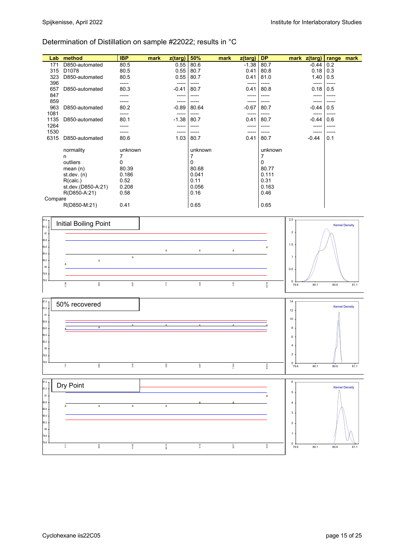# Determination of Distillation on sample #22022; results in °C

| Lab     | method             | <b>IBP</b> | mark | z(targ) | 50%      | mark | z(targ) | <b>DP</b> | mark z(targ) |         | range | mark |
|---------|--------------------|------------|------|---------|----------|------|---------|-----------|--------------|---------|-------|------|
| 171     | D850-automated     | 80.5       |      | 0.55    | 80.6     |      | $-1.38$ | 80.7      |              | -0.44   | 0.2   |      |
| 315     | D <sub>1078</sub>  | 80.5       |      | 0.55    | 80.7     |      | 0.41    | 80.8      |              | 0.18    | 0.3   |      |
| 323     | D850-automated     | 80.5       |      | 0.55    | 80.7     |      | 0.41    | 81.0      |              | 1.40    | 0.5   |      |
| 396     |                    |            |      | -----   |          |      |         |           |              | -----   |       |      |
| 657     | D850-automated     | 80.3       |      | -0.41   | 80.7     |      | 0.41    | 80.8      |              | 0.18    | 0.5   |      |
| 847     |                    |            |      |         |          |      |         |           |              |         |       |      |
| 859     |                    |            |      | -----   |          |      |         |           |              | -----   |       |      |
| 963     | D850-automated     | 80.2       |      | $-0.89$ | 80.64    |      | $-0.67$ | 80.7      |              | -0.44   | 0.5   |      |
| 1081    |                    | -----      |      | -----   | -----    |      | -----   |           |              |         |       |      |
| 1135    | D850-automated     | 80.1       |      | $-1.38$ | 80.7     |      | 0.41    | 80.7      |              | $-0.44$ | 0.6   |      |
| 1264    |                    |            |      | ----    |          |      | ----    |           |              |         |       |      |
| 1530    |                    |            |      | ----    |          |      | ----    |           |              |         |       |      |
| 6315    | D850-automated     | 80.6       |      | 1.03    | 80.7     |      | 0.41    | 80.7      |              | $-0.44$ | 0.1   |      |
|         | normality          | unknown    |      |         | unknown  |      |         | unknown   |              |         |       |      |
|         |                    |            |      |         | 7        |      |         |           |              |         |       |      |
|         | n                  | 7          |      |         | $\Omega$ |      |         | 7         |              |         |       |      |
|         | outliers           | 0          |      |         |          |      |         | 0         |              |         |       |      |
|         | mean $(n)$         | 80.39      |      |         | 80.68    |      |         | 80.77     |              |         |       |      |
|         | st.dev. $(n)$      | 0.186      |      |         | 0.041    |      |         | 0.111     |              |         |       |      |
|         | R(calc.)           | 0.52       |      |         | 0.11     |      |         | 0.31      |              |         |       |      |
|         | st.dev.(D850-A:21) | 0.208      |      |         | 0.056    |      |         | 0.163     |              |         |       |      |
|         | R(D850-A:21)       | 0.58       |      |         | 0.16     |      |         | 0.46      |              |         |       |      |
| Compare |                    |            |      |         |          |      |         |           |              |         |       |      |
|         | R(D850-M:21)       | 0.41       |      |         | 0.65     |      |         | 0.65      |              |         |       |      |





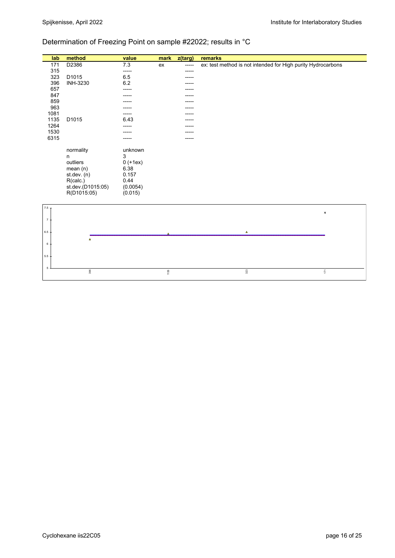## Determination of Freezing Point on sample #22022; results in °C

| lab              | method                  | value         | mark | z(targ) | remarks                                                      |
|------------------|-------------------------|---------------|------|---------|--------------------------------------------------------------|
| 171              | D2386                   | 7.3           | ex   | -----   | ex: test method is not intended for High purity Hydrocarbons |
| 315              |                         | -----         |      |         |                                                              |
| 323              | D1015                   | 6.5           |      |         |                                                              |
| 396              | INH-3230                | $6.2\,$       |      |         |                                                              |
| 657              |                         | -----         |      |         |                                                              |
| 847<br>859       |                         |               |      |         |                                                              |
| 963              |                         |               |      |         |                                                              |
| 1081             |                         | -----         |      |         |                                                              |
| 1135             | D1015                   | 6.43          |      |         |                                                              |
| 1264             |                         |               |      |         |                                                              |
| 1530             |                         |               |      |         |                                                              |
| 6315             |                         |               |      |         |                                                              |
|                  |                         |               |      |         |                                                              |
|                  | normality               | unknown       |      |         |                                                              |
|                  | n                       | 3             |      |         |                                                              |
|                  | outliers                | $0 (+1ex)$    |      |         |                                                              |
|                  | mean(n)                 | 6.38<br>0.157 |      |         |                                                              |
|                  | st.dev. (n)<br>R(calc.) | 0.44          |      |         |                                                              |
|                  | st.dev.(D1015:05)       | (0.0054)      |      |         |                                                              |
|                  | R(D1015:05)             | (0.015)       |      |         |                                                              |
|                  |                         |               |      |         |                                                              |
| 7.5 <sub>7</sub> |                         |               |      |         |                                                              |
|                  |                         |               |      |         | $\pmb{\times}$                                               |
| $\overline{7}$   |                         |               |      |         |                                                              |
|                  |                         |               |      |         |                                                              |
| 6.5              |                         |               |      |         | $\Delta$                                                     |
|                  | $\Delta$                |               |      |         |                                                              |
| 6                |                         |               |      |         |                                                              |
|                  |                         |               |      |         |                                                              |
| $5.5 -$          |                         |               |      |         |                                                              |
|                  |                         |               |      |         |                                                              |
| 5                | 396                     |               | 1135 |         | $323\,$<br>$\mathbb{E}$                                      |
|                  |                         |               |      |         |                                                              |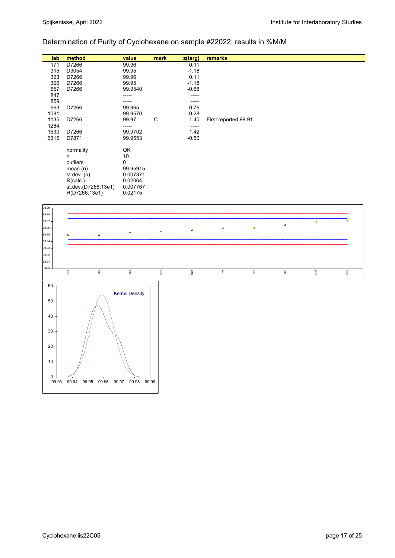# Determination of Purity of Cyclohexane on sample #22022; results in %M/M

| lab   | method                          | value                | mark     | $z$ (targ) | remarks                                                                |
|-------|---------------------------------|----------------------|----------|------------|------------------------------------------------------------------------|
| 171   | D7266                           | 99.96                |          | 0.11       |                                                                        |
| 315   | D3054                           | 99.95                |          | $-1.18$    |                                                                        |
| 323   | D7266                           | 99.96                |          | 0.11       |                                                                        |
| 396   | D7266                           | 99.95                |          | $-1.18$    |                                                                        |
| 657   | D7266                           | 99.9540              |          | $-0.66$    |                                                                        |
| 847   |                                 | -----                |          |            |                                                                        |
| 859   |                                 |                      |          | -----      |                                                                        |
| 963   | D7266                           | 99.965               |          | 0.75       |                                                                        |
| 1081  |                                 | 99.9570              |          | $-0.28$    |                                                                        |
| 1135  | D7266                           | 99.97                | C        | 1.40       | First reported 99.91                                                   |
| 1264  |                                 | -----                |          | -----      |                                                                        |
| 1530  | D7266                           | 99.9702              |          | 1.42       |                                                                        |
| 6315  | D7871                           | 99.9553              |          | $-0.50$    |                                                                        |
|       |                                 |                      |          |            |                                                                        |
|       | normality                       | OK                   |          |            |                                                                        |
|       | n                               | 10                   |          |            |                                                                        |
|       | outliers                        | 0                    |          |            |                                                                        |
|       | mean(n)<br>st.dev. (n)          | 99.95915<br>0.007371 |          |            |                                                                        |
|       |                                 |                      |          |            |                                                                        |
|       | R(calc.)<br>st.dev.(D7266:13e1) | 0.02064<br>0.007767  |          |            |                                                                        |
|       | R(D7266:13e1)                   | 0.02175              |          |            |                                                                        |
|       |                                 |                      |          |            |                                                                        |
| 99.99 |                                 |                      |          |            |                                                                        |
| 99.98 |                                 |                      |          |            |                                                                        |
| 99.97 |                                 |                      |          |            | $\Delta$                                                               |
| 99.96 |                                 |                      | $\Delta$ | Δ          | $\Delta$                                                               |
| 99.95 | $\Delta$<br>A                   | $\pmb{\Delta}$       |          |            |                                                                        |
| 99.94 |                                 |                      |          |            |                                                                        |
| 99.93 |                                 |                      |          |            |                                                                        |
| 99.92 |                                 |                      |          |            |                                                                        |
| 99.91 |                                 |                      |          |            |                                                                        |
| 99.9  | 315<br>396                      | 657                  | 6315     | 1081       | $\overline{\mathbb{C}}$<br>$\mathfrak{A}^3$<br>1135<br>$963\,$<br>1530 |
|       |                                 |                      |          |            |                                                                        |

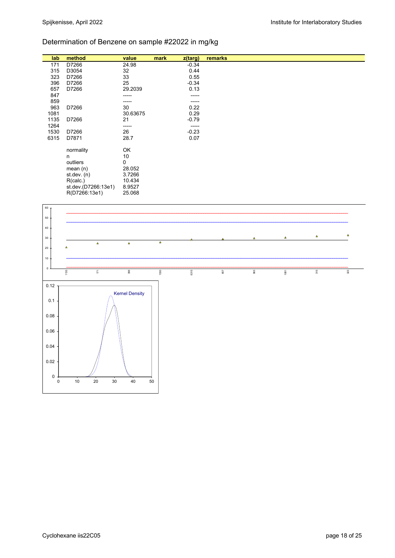# Determination of Benzene on sample #22022 in mg/kg

| lab  | method              | value           | mark | z(targ) | remarks |
|------|---------------------|-----------------|------|---------|---------|
| 171  | D7266               | 24.98           |      | $-0.34$ |         |
| 315  | D3054               | 32              |      | 0.44    |         |
| 323  | D7266               | 33              |      | 0.55    |         |
| 396  | D7266               | 25              |      | $-0.34$ |         |
| 657  | D7266               | 29.2039         |      | 0.13    |         |
| 847  |                     | -----           |      | -----   |         |
| 859  |                     | -----           |      | -----   |         |
| 963  | D7266               | 30              |      | 0.22    |         |
| 1081 |                     | 30.63675        |      | 0.29    |         |
|      |                     |                 |      |         |         |
| 1135 | D7266               | 21              |      | $-0.79$ |         |
| 1264 |                     | -----           |      | -----   |         |
| 1530 | D7266               | 26              |      | $-0.23$ |         |
| 6315 | D7871               | 28.7            |      | 0.07    |         |
|      |                     |                 |      |         |         |
|      | normality           | OK              |      |         |         |
|      | n                   | 10 <sup>°</sup> |      |         |         |
|      | outliers            | 0               |      |         |         |
|      | mean $(n)$          | 28.052          |      |         |         |
|      | st.dev. $(n)$       | 3.7266          |      |         |         |
|      |                     |                 |      |         |         |
|      | R(calc.)            | 10.434          |      |         |         |
|      | st.dev.(D7266:13e1) | 8.9527          |      |         |         |
|      | R(D7266:13e1)       | 25.068          |      |         |         |

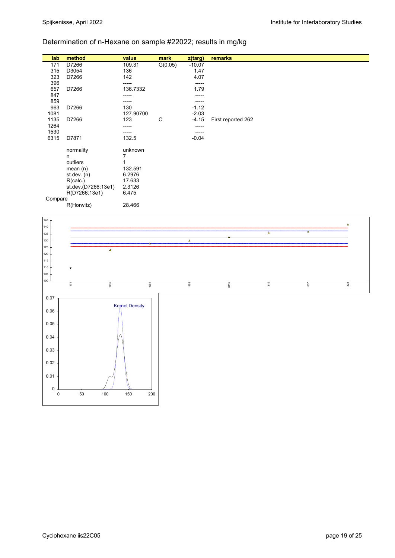# Determination of n-Hexane on sample #22022; results in mg/kg

| method<br>remarks<br>mark<br>lab<br>value<br>z(targ)<br>G(0.05)<br>D7266<br>109.31<br>$-10.07$<br>171<br>1.47<br>315<br>D3054<br>136 |
|--------------------------------------------------------------------------------------------------------------------------------------|
|                                                                                                                                      |
|                                                                                                                                      |
|                                                                                                                                      |
| 323<br>142<br>4.07<br>D7266                                                                                                          |
| 396<br>-----<br>-----                                                                                                                |
| 657<br>D7266<br>136.7332<br>1.79                                                                                                     |
| 847<br>-----                                                                                                                         |
| 859<br>-----<br>-----                                                                                                                |
| 963<br>130<br>$-1.12$<br>D7266                                                                                                       |
| $-2.03$<br>127.90700<br>1081                                                                                                         |
| C<br>1135<br>123<br>$-4.15$<br>D7266<br>First reported 262                                                                           |
| 1264<br>$- - - - -$<br>-----                                                                                                         |
| 1530<br>-----<br>-----                                                                                                               |
| 6315<br>D7871<br>132.5<br>$-0.04$                                                                                                    |
|                                                                                                                                      |
| normality<br>unknown                                                                                                                 |
| 7<br>n                                                                                                                               |
| outliers                                                                                                                             |
| 132.591<br>mean $(n)$                                                                                                                |
| st. dev. (n)<br>6.2976                                                                                                               |
|                                                                                                                                      |
| R(calc.)<br>17.633                                                                                                                   |
| st.dev.(D7266:13e1)<br>2.3126                                                                                                        |
| R(D7266:13e1)<br>6.475                                                                                                               |
| Compare                                                                                                                              |
| 28.466<br>R(Horwitz)                                                                                                                 |

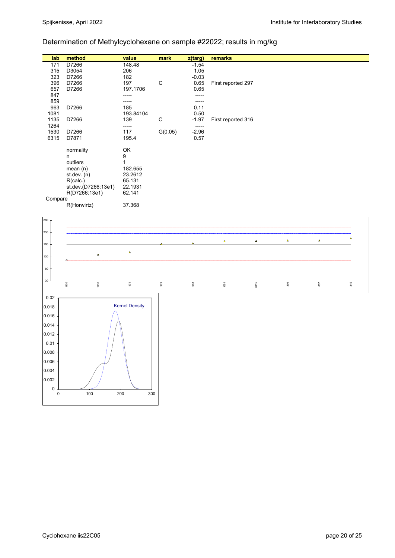# Determination of Methylcyclohexane on sample #22022; results in mg/kg

| lab     | method              | value     | mark    | z(targ) | remarks            |
|---------|---------------------|-----------|---------|---------|--------------------|
| 171     | D7266               | 148.48    |         | $-1.54$ |                    |
| 315     | D3054               | 206       |         | 1.05    |                    |
| 323     | D7266               | 182       |         | $-0.03$ |                    |
| 396     | D7266               | 197       | C       | 0.65    | First reported 297 |
| 657     | D7266               | 197.1706  |         | 0.65    |                    |
| 847     |                     | -----     |         |         |                    |
| 859     |                     | -----     |         |         |                    |
| 963     | D7266               | 185       |         | 0.11    |                    |
| 1081    |                     | 193.84104 |         | 0.50    |                    |
| 1135    | D7266               | 139       | C       | $-1.97$ | First reported 316 |
| 1264    |                     | -----     |         | -----   |                    |
| 1530    | D7266               | 117       | G(0.05) | $-2.96$ |                    |
| 6315    | D7871               | 195.4     |         | 0.57    |                    |
|         |                     |           |         |         |                    |
|         | normality           | OK        |         |         |                    |
|         | n                   | 9         |         |         |                    |
|         | outliers            | 1         |         |         |                    |
|         |                     |           |         |         |                    |
|         | mean $(n)$          | 182.655   |         |         |                    |
|         | st.dev. (n)         | 23.2612   |         |         |                    |
|         | R(calc.)            | 65.131    |         |         |                    |
|         | st.dev.(D7266:13e1) | 22.1931   |         |         |                    |
|         | R(D7266:13e1)       | 62.141    |         |         |                    |
| Compare |                     |           |         |         |                    |
|         | R(Horwirtz)         | 37.368    |         |         |                    |
|         |                     |           |         |         |                    |

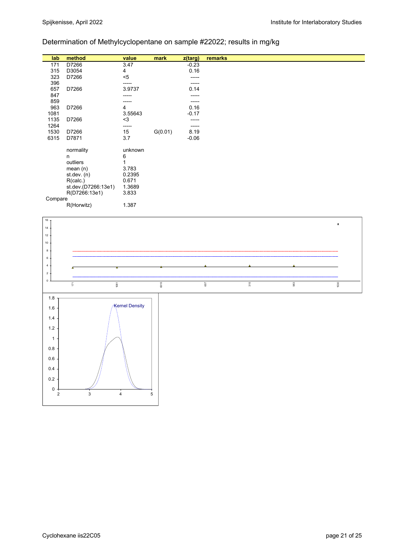# Determination of Methylcyclopentane on sample #22022; results in mg/kg

| lab     | method              | value   | mark    | $z$ (targ) | remarks |  |
|---------|---------------------|---------|---------|------------|---------|--|
| 171     | D7266               | 3.47    |         | $-0.23$    |         |  |
| 315     | D3054               | 4       |         | 0.16       |         |  |
| 323     | D7266               | $5$     |         | ------     |         |  |
| 396     |                     | -----   |         | -----      |         |  |
| 657     | D7266               | 3.9737  |         | 0.14       |         |  |
| 847     |                     | -----   |         | -----      |         |  |
| 859     |                     | -----   |         | -----      |         |  |
| 963     | D7266               | 4       |         | 0.16       |         |  |
| 1081    |                     | 3.55643 |         | $-0.17$    |         |  |
| 1135    | D7266               | $3$     |         | ------     |         |  |
| 1264    |                     | -----   |         | -----      |         |  |
| 1530    | D7266               | 15      | G(0.01) | 8.19       |         |  |
| 6315    | D7871               | 3.7     |         | $-0.06$    |         |  |
|         |                     |         |         |            |         |  |
|         | normality           | unknown |         |            |         |  |
|         | n                   | 6       |         |            |         |  |
|         | outliers            | 1       |         |            |         |  |
|         | mean $(n)$          | 3.783   |         |            |         |  |
|         | st.dev. $(n)$       | 0.2395  |         |            |         |  |
|         |                     |         |         |            |         |  |
|         | R(calc.)            | 0.671   |         |            |         |  |
|         | st.dev.(D7266:13e1) | 1.3689  |         |            |         |  |
|         | R(D7266:13e1)       | 3.833   |         |            |         |  |
| Compare |                     |         |         |            |         |  |
|         | R(Horwitz)          | 1.387   |         |            |         |  |

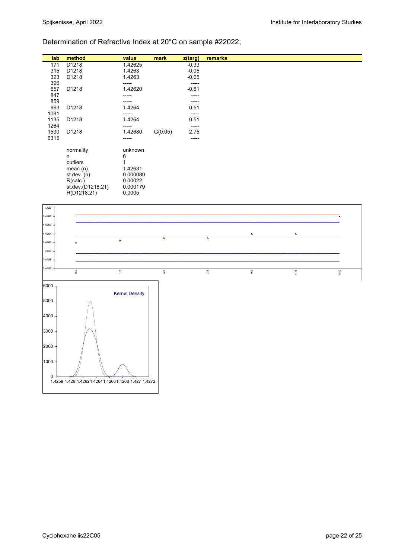## Determination of Refractive Index at 20°C on sample #22022;

| lab  | method            | value    | mark    | z(targ) | remarks |  |
|------|-------------------|----------|---------|---------|---------|--|
| 171  | D1218             | 1.42625  |         | $-0.33$ |         |  |
| 315  | D1218             | 1.4263   |         | $-0.05$ |         |  |
| 323  | D1218             | 1.4263   |         | $-0.05$ |         |  |
| 396  |                   | -----    |         | -----   |         |  |
| 657  | D1218             | 1.42620  |         | $-0.61$ |         |  |
| 847  |                   | -----    |         | -----   |         |  |
| 859  |                   | -----    |         | -----   |         |  |
| 963  | D1218             | 1.4264   |         | 0.51    |         |  |
| 1081 |                   | -----    |         | -----   |         |  |
| 1135 | D1218             | 1.4264   |         | 0.51    |         |  |
| 1264 |                   | -----    |         | -----   |         |  |
| 1530 | D1218             | 1.42680  | G(0.05) | 2.75    |         |  |
| 6315 |                   | -----    |         | -----   |         |  |
|      |                   |          |         |         |         |  |
|      | normality         | unknown  |         |         |         |  |
|      | n                 | 6        |         |         |         |  |
|      | outliers          |          |         |         |         |  |
|      | mean $(n)$        | 1.42631  |         |         |         |  |
|      |                   |          |         |         |         |  |
|      | st.dev. $(n)$     | 0.000080 |         |         |         |  |
|      | R(calc.)          | 0.00022  |         |         |         |  |
|      | st.dev.(D1218:21) | 0.000179 |         |         |         |  |
|      | R(D1218:21)       | 0.0005   |         |         |         |  |
|      |                   |          |         |         |         |  |

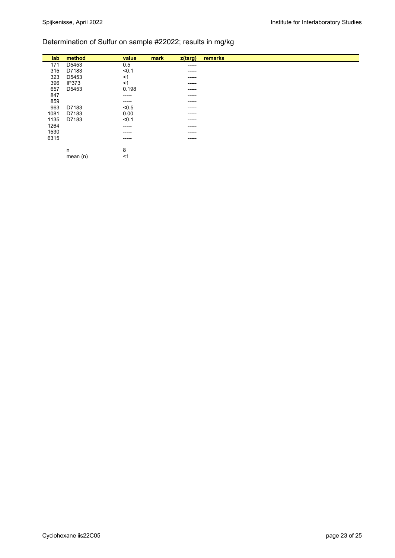# Determination of Sulfur on sample #22022; results in mg/kg

| lab  | method       | value       | mark<br>$z$ (targ) | remarks |
|------|--------------|-------------|--------------------|---------|
| 171  | D5453        | 0.5         | ------             |         |
| 315  | D7183        | < 0.1       | ------             |         |
| 323  | D5453        | ≺1          | $- - - - -$        |         |
| 396  | <b>IP373</b> | $<$ 1       | $- - - - -$        |         |
| 657  | D5453        | 0.198       | $- - - - -$        |         |
| 847  |              | -----       | ------             |         |
| 859  |              | ------      | $- - - - -$        |         |
| 963  | D7183        | < 0.5       | $- - - - -$        |         |
| 1081 | D7183        | 0.00        | ------             |         |
| 1135 | D7183        | < 0.1       | $- - - - -$        |         |
| 1264 |              | -----       | $- - - - -$        |         |
| 1530 |              | ------      | -----              |         |
| 6315 |              | $- - - - -$ | $- - - - -$        |         |
|      |              |             |                    |         |
|      | n            | 8           |                    |         |
|      | mean $(n)$   | <1          |                    |         |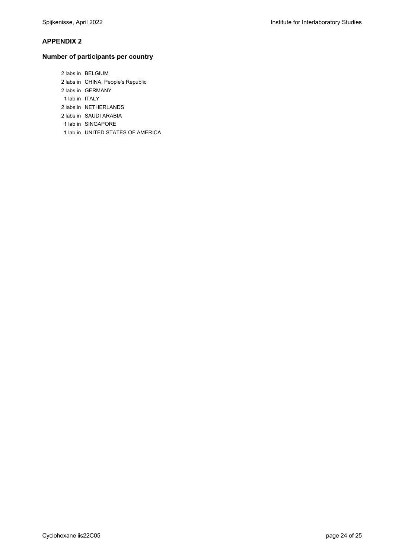#### **APPENDIX 2**

#### **Number of participants per country**

 2 labs in BELGIUM 2 labs in CHINA, People's Republic 2 labs in GERMANY 1 lab in ITALY 2 labs in NETHERLANDS 2 labs in SAUDI ARABIA 1 lab in SINGAPORE 1 lab in UNITED STATES OF AMERICA